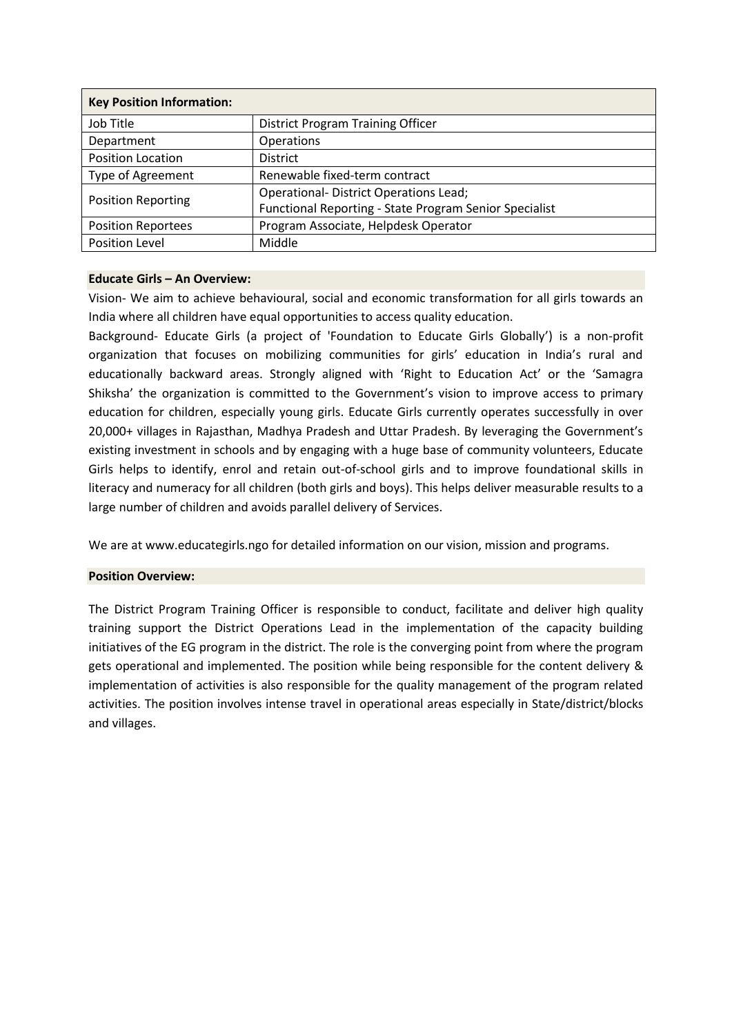| <b>Key Position Information:</b> |                                                        |  |  |
|----------------------------------|--------------------------------------------------------|--|--|
| Job Title                        | <b>District Program Training Officer</b>               |  |  |
| Department                       | <b>Operations</b>                                      |  |  |
| <b>Position Location</b>         | <b>District</b>                                        |  |  |
| Type of Agreement                | Renewable fixed-term contract                          |  |  |
| <b>Position Reporting</b>        | <b>Operational- District Operations Lead;</b>          |  |  |
|                                  | Functional Reporting - State Program Senior Specialist |  |  |
| <b>Position Reportees</b>        | Program Associate, Helpdesk Operator                   |  |  |
| Position Level                   | Middle                                                 |  |  |

### **Educate Girls – An Overview:**

Vision- We aim to achieve behavioural, social and economic transformation for all girls towards an India where all children have equal opportunities to access quality education.

Background- Educate Girls (a project of 'Foundation to Educate Girls Globally') is a non-profit organization that focuses on mobilizing communities for girls' education in India's rural and educationally backward areas. Strongly aligned with 'Right to Education Act' or the 'Samagra Shiksha' the organization is committed to the Government's vision to improve access to primary education for children, especially young girls. Educate Girls currently operates successfully in over 20,000+ villages in Rajasthan, Madhya Pradesh and Uttar Pradesh. By leveraging the Government's existing investment in schools and by engaging with a huge base of community volunteers, Educate Girls helps to identify, enrol and retain out-of-school girls and to improve foundational skills in literacy and numeracy for all children (both girls and boys). This helps deliver measurable results to a large number of children and avoids parallel delivery of Services.

We are at www.educategirls.ngo for detailed information on our vision, mission and programs.

#### **Position Overview:**

The District Program Training Officer is responsible to conduct, facilitate and deliver high quality training support the District Operations Lead in the implementation of the capacity building initiatives of the EG program in the district. The role is the converging point from where the program gets operational and implemented. The position while being responsible for the content delivery & implementation of activities is also responsible for the quality management of the program related activities. The position involves intense travel in operational areas especially in State/district/blocks and villages.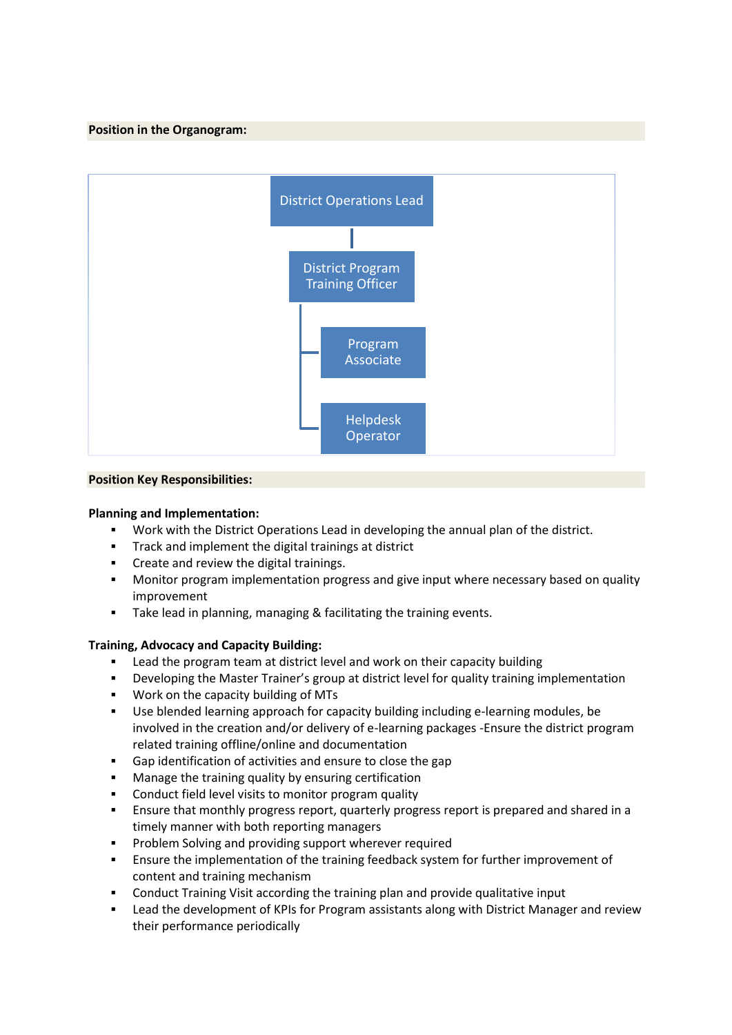## **Position in the Organogram:**



# **Position Key Responsibilities:**

### **Planning and Implementation:**

- Work with the District Operations Lead in developing the annual plan of the district.
- Track and implement the digital trainings at district
- Create and review the digital trainings.
- **■** Monitor program implementation progress and give input where necessary based on quality improvement
- Take lead in planning, managing & facilitating the training events.

### **Training, Advocacy and Capacity Building:**

- Lead the program team at district level and work on their capacity building
- **•** Developing the Master Trainer's group at district level for quality training implementation
- Work on the capacity building of MTs
- Use blended learning approach for capacity building including e-learning modules, be involved in the creation and/or delivery of e-learning packages -Ensure the district program related training offline/online and documentation
- Gap identification of activities and ensure to close the gap
- Manage the training quality by ensuring certification
- Conduct field level visits to monitor program quality
- **E** Ensure that monthly progress report, quarterly progress report is prepared and shared in a timely manner with both reporting managers
- Problem Solving and providing support wherever required
- **Ensure the implementation of the training feedback system for further improvement of** content and training mechanism
- Conduct Training Visit according the training plan and provide qualitative input
- **Lead the development of KPIs for Program assistants along with District Manager and review** their performance periodically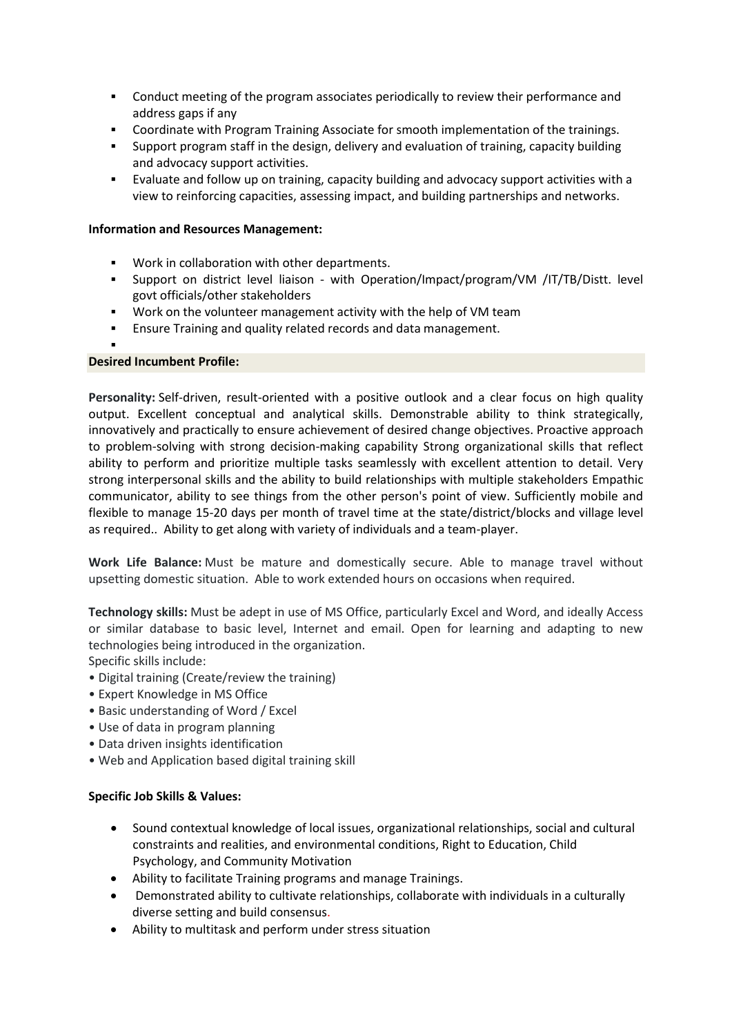- **•** Conduct meeting of the program associates periodically to review their performance and address gaps if any
- Coordinate with Program Training Associate for smooth implementation of the trainings.
- Support program staff in the design, delivery and evaluation of training, capacity building and advocacy support activities.
- Evaluate and follow up on training, capacity building and advocacy support activities with a view to reinforcing capacities, assessing impact, and building partnerships and networks.

## **Information and Resources Management:**

- Work in collaboration with other departments.
- Support on district level liaison with Operation/Impact/program/VM /IT/TB/Distt. level govt officials/other stakeholders
- Work on the volunteer management activity with the help of VM team
- Ensure Training and quality related records and data management.

#### ▪ **Desired Incumbent Profile:**

**Personality:** Self-driven, result-oriented with a positive outlook and a clear focus on high quality output. Excellent conceptual and analytical skills. Demonstrable ability to think strategically, innovatively and practically to ensure achievement of desired change objectives. Proactive approach to problem-solving with strong decision-making capability Strong organizational skills that reflect ability to perform and prioritize multiple tasks seamlessly with excellent attention to detail. Very strong interpersonal skills and the ability to build relationships with multiple stakeholders Empathic communicator, ability to see things from the other person's point of view. Sufficiently mobile and flexible to manage 15-20 days per month of travel time at the state/district/blocks and village level as required.. Ability to get along with variety of individuals and a team-player.

**Work Life Balance:** Must be mature and domestically secure. Able to manage travel without upsetting domestic situation. Able to work extended hours on occasions when required.

**Technology skills:** Must be adept in use of MS Office, particularly Excel and Word, and ideally Access or similar database to basic level, Internet and email. Open for learning and adapting to new technologies being introduced in the organization.

Specific skills include:

- Digital training (Create/review the training)
- Expert Knowledge in MS Office
- Basic understanding of Word / Excel
- Use of data in program planning
- Data driven insights identification
- Web and Application based digital training skill

### **Specific Job Skills & Values:**

- Sound contextual knowledge of local issues, organizational relationships, social and cultural constraints and realities, and environmental conditions, Right to Education, Child Psychology, and Community Motivation
- Ability to facilitate Training programs and manage Trainings.
- Demonstrated ability to cultivate relationships, collaborate with individuals in a culturally diverse setting and build consensus.
- Ability to multitask and perform under stress situation